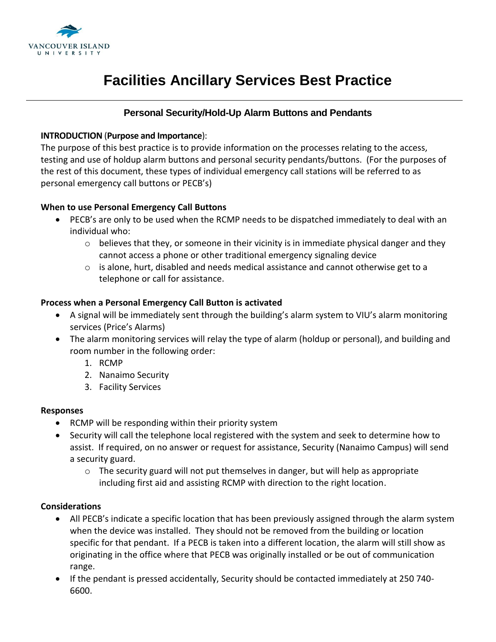

# **Facilities Ancillary Services Best Practice**

# **Personal Security/Hold-Up Alarm Buttons and Pendants**

#### **INTRODUCTION** (**Purpose and Importance**):

The purpose of this best practice is to provide information on the processes relating to the access, testing and use of holdup alarm buttons and personal security pendants/buttons. (For the purposes of the rest of this document, these types of individual emergency call stations will be referred to as personal emergency call buttons or PECB's)

## **When to use Personal Emergency Call Buttons**

- PECB's are only to be used when the RCMP needs to be dispatched immediately to deal with an individual who:
	- $\circ$  believes that they, or someone in their vicinity is in immediate physical danger and they cannot access a phone or other traditional emergency signaling device
	- o is alone, hurt, disabled and needs medical assistance and cannot otherwise get to a telephone or call for assistance.

#### **Process when a Personal Emergency Call Button is activated**

- A signal will be immediately sent through the building's alarm system to VIU's alarm monitoring services (Price's Alarms)
- The alarm monitoring services will relay the type of alarm (holdup or personal), and building and room number in the following order:
	- 1. RCMP
	- 2. Nanaimo Security
	- 3. Facility Services

#### **Responses**

- RCMP will be responding within their priority system
- Security will call the telephone local registered with the system and seek to determine how to assist. If required, on no answer or request for assistance, Security (Nanaimo Campus) will send a security guard.
	- $\circ$  The security guard will not put themselves in danger, but will help as appropriate including first aid and assisting RCMP with direction to the right location.

## **Considerations**

- All PECB's indicate a specific location that has been previously assigned through the alarm system when the device was installed. They should not be removed from the building or location specific for that pendant. If a PECB is taken into a different location, the alarm will still show as originating in the office where that PECB was originally installed or be out of communication range.
- If the pendant is pressed accidentally, Security should be contacted immediately at 250 740- 6600.